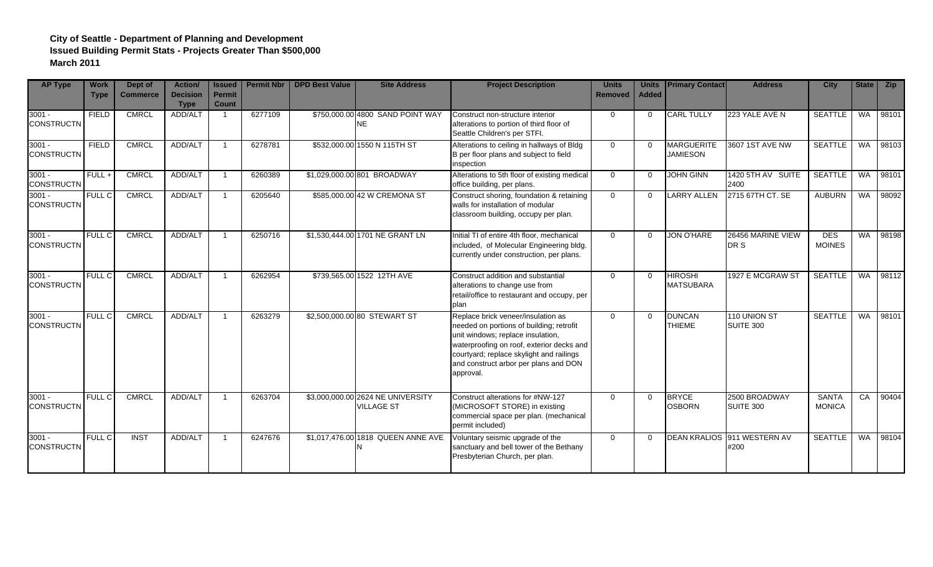| <b>AP Type</b>                | <b>Work</b><br><b>Type</b> | Dept of<br><b>Commerce</b> | <b>Action/</b><br><b>Decision</b><br><b>Type</b> | <b>Issued</b><br><b>Permit</b><br><b>Count</b> | <b>Permit Nbr</b> | <b>DPD Best Value</b> | <b>Site Address</b>                                    | <b>Project Description</b>                                                                                                                                                                                                                                         | <b>Units</b><br>Removed | <b>Units</b><br><b>Added</b> | <b>Primary Contact</b>               | <b>Address</b>                      | <b>City</b>                   | State     | <b>Zip</b> |
|-------------------------------|----------------------------|----------------------------|--------------------------------------------------|------------------------------------------------|-------------------|-----------------------|--------------------------------------------------------|--------------------------------------------------------------------------------------------------------------------------------------------------------------------------------------------------------------------------------------------------------------------|-------------------------|------------------------------|--------------------------------------|-------------------------------------|-------------------------------|-----------|------------|
| $3001 -$<br><b>CONSTRUCTN</b> | <b>FIELD</b>               | <b>CMRCL</b>               | ADD/ALT                                          |                                                | 6277109           |                       | \$750,000.00 4800 SAND POINT WAY<br><b>NE</b>          | Construct non-structure interior<br>alterations to portion of third floor of<br>Seattle Children's per STFI.                                                                                                                                                       | $\Omega$                | $\Omega$                     | <b>CARL TULLY</b>                    | 223 YALE AVE N                      | <b>SEATTLE</b>                | <b>WA</b> | 98101      |
| $3001 -$<br><b>CONSTRUCTN</b> | <b>FIELD</b>               | <b>CMRCL</b>               | ADD/ALT                                          |                                                | 6278781           |                       | \$532,000.00 1550 N 115TH ST                           | Alterations to ceiling in hallways of Bldg<br>B per floor plans and subject to field<br>inspection                                                                                                                                                                 | $\Omega$                | $\Omega$                     | <b>MARGUERITE</b><br><b>JAMIESON</b> | 3607 1ST AVE NW                     | <b>SEATTLE</b>                | <b>WA</b> | 98103      |
| $3001 -$<br><b>CONSTRUCTN</b> | $FULL +$                   | <b>CMRCL</b>               | ADD/ALT                                          |                                                | 6260389           |                       | \$1,029,000.00 801 BROADWAY                            | Alterations to 5th floor of existing medical<br>office building, per plans.                                                                                                                                                                                        | $\Omega$                | $\Omega$                     | <b>JOHN GINN</b>                     | 1420 5TH AV SUITE<br>2400           | <b>SEATTLE</b>                | <b>WA</b> | 98101      |
| $3001 -$<br><b>CONSTRUCTN</b> | FULL C                     | <b>CMRCL</b>               | ADD/ALT                                          |                                                | 6205640           |                       | \$585,000.00 42 W CREMONA ST                           | Construct shoring, foundation & retaining<br>walls for installation of modular<br>classroom building, occupy per plan.                                                                                                                                             | $\Omega$                | $\Omega$                     | <b>LARRY ALLEN</b>                   | 2715 67TH CT. SE                    | <b>AUBURN</b>                 | <b>WA</b> | 98092      |
| $3001 -$<br><b>CONSTRUCTN</b> | FULL C                     | <b>CMRCL</b>               | ADD/ALT                                          |                                                | 6250716           |                       | \$1,530,444.00 1701 NE GRANT LN                        | Initial TI of entire 4th floor, mechanical<br>included, of Molecular Engineering bldg.<br>currently under construction, per plans.                                                                                                                                 | $\Omega$                | $\Omega$                     | <b>JON O'HARE</b>                    | 26456 MARINE VIEW<br>DR S           | <b>DES</b><br><b>MOINES</b>   | <b>WA</b> | 98198      |
| $3001 -$<br><b>CONSTRUCTN</b> | <b>FULL C</b>              | <b>CMRCL</b>               | ADD/ALT                                          |                                                | 6262954           |                       | \$739,565.00 1522 12TH AVE                             | Construct addition and substantial<br>alterations to change use from<br>retail/office to restaurant and occupy, per<br>plan                                                                                                                                        | $\Omega$                | $\Omega$                     | <b>HIROSHI</b><br><b>MATSUBARA</b>   | 1927 E MCGRAW ST                    | <b>SEATTLE</b>                |           | WA 98112   |
| $3001 -$<br><b>CONSTRUCTN</b> | <b>FULL C</b>              | <b>CMRCL</b>               | ADD/ALT                                          |                                                | 6263279           |                       | \$2,500,000.00 80 STEWART ST                           | Replace brick veneer/insulation as<br>needed on portions of building; retrofit<br>unit windows; replace insulation,<br>waterproofing on roof, exterior decks and<br>courtyard; replace skylight and railings<br>and construct arbor per plans and DON<br>approval. | $\overline{0}$          | $\Omega$                     | <b>DUNCAN</b><br><b>THIEME</b>       | 110 UNION ST<br>SUITE 300           | <b>SEATTLE</b>                | <b>WA</b> | 98101      |
| $3001 -$<br><b>CONSTRUCTN</b> | <b>FULL C</b>              | <b>CMRCL</b>               | ADD/ALT                                          |                                                | 6263704           |                       | \$3,000,000.00 2624 NE UNIVERSITY<br><b>VILLAGE ST</b> | Construct alterations for #NW-127<br>(MICROSOFT STORE) in existing<br>commercial space per plan. (mechanical<br>permit included)                                                                                                                                   | $\Omega$                | $\Omega$                     | <b>BRYCE</b><br><b>OSBORN</b>        | 2500 BROADWAY<br>SUITE 300          | <b>SANTA</b><br><b>MONICA</b> | CA        | 90404      |
| $3001 -$<br><b>CONSTRUCTN</b> | <b>FULL C</b>              | <b>INST</b>                | ADD/ALT                                          |                                                | 6247676           |                       | \$1,017,476.00 1818 QUEEN ANNE AVE                     | Voluntary seismic upgrade of the<br>sanctuary and bell tower of the Bethany<br>Presbyterian Church, per plan.                                                                                                                                                      | $\Omega$                | $\Omega$                     |                                      | DEAN KRALIOS 911 WESTERN AV<br>#200 | <b>SEATTLE</b>                | <b>WA</b> | 98104      |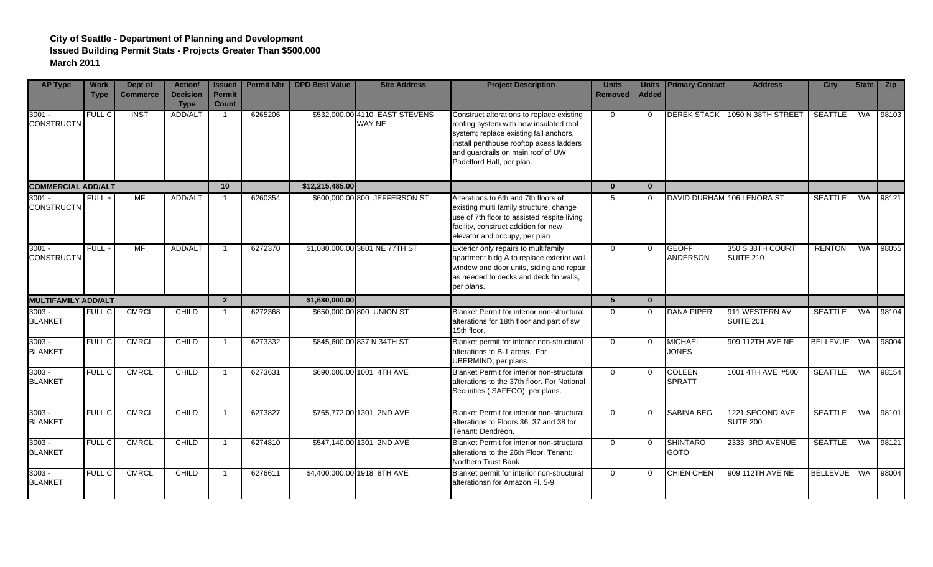| <b>AP Type</b>                | <b>Work</b><br><b>Type</b> | Dept of<br><b>Commerce</b> | Action/<br><b>Decision</b><br><b>Type</b> | <b>Issued</b><br><b>Permit</b><br><b>Count</b> | <b>Permit Nbr</b> | <b>DPD Best Value</b> | <b>Site Address</b>                      | <b>Project Description</b>                                                                                                                                                                                                                 | <b>Units</b><br><b>Removed</b> | <b>Units</b><br><b>Added</b> | <b>Primary Contact</b>          | <b>Address</b>                       | <b>City</b>      | State     | Zip      |
|-------------------------------|----------------------------|----------------------------|-------------------------------------------|------------------------------------------------|-------------------|-----------------------|------------------------------------------|--------------------------------------------------------------------------------------------------------------------------------------------------------------------------------------------------------------------------------------------|--------------------------------|------------------------------|---------------------------------|--------------------------------------|------------------|-----------|----------|
| $3001 -$<br><b>CONSTRUCTN</b> | FULL C                     | <b>INST</b>                | ADD/ALT                                   | $\mathbf{1}$                                   | 6265206           |                       | \$532,000.00 4110 EAST STEVENS<br>WAY NE | Construct alterations to replace existing<br>roofing system with new insulated roof<br>system; replace existing fall anchors,<br>install penthouse rooftop acess ladders<br>and guardrails on main roof of UW<br>Padelford Hall, per plan. | $\Omega$                       | $\Omega$                     | <b>DEREK STACK</b>              | 1050 N 38TH STREET                   | <b>SEATTLE</b>   | <b>WA</b> | 98103    |
| <b>COMMERCIAL ADD/ALT</b>     |                            |                            |                                           | 10 <sup>1</sup>                                |                   | \$12,215,485.00       |                                          |                                                                                                                                                                                                                                            | $\mathbf{0}$                   | $\mathbf{0}$                 |                                 |                                      |                  |           |          |
| $3001 -$<br><b>CONSTRUCTN</b> | $FULL +$                   | MF                         | ADD/ALT                                   | $\overline{1}$                                 | 6260354           |                       | \$600,000.00 800 JEFFERSON ST            | Alterations to 6th and 7th floors of<br>existing multi family structure, change<br>use of 7th floor to assisted respite living<br>facility, construct addition for new<br>elevator and occupy, per plan                                    | 5                              | $\Omega$                     | DAVID DURHAM 106 LENORA ST      |                                      | SEATTLE WA 98121 |           |          |
| $3001 -$<br><b>CONSTRUCTN</b> | $FULL +$                   | MF                         | ADD/ALT                                   | $\overline{1}$                                 | 6272370           |                       | \$1,080,000.00 3801 NE 77TH ST           | Exterior only repairs to multifamily<br>apartment bldg A to replace exterior wall,<br>window and door units, siding and repair<br>as needed to decks and deck fin walls,<br>per plans.                                                     | $\Omega$                       | $\Omega$                     | <b>GEOFF</b><br><b>ANDERSON</b> | 350 S 38TH COURT<br><b>SUITE 210</b> | <b>RENTON</b>    | <b>WA</b> | 98055    |
| <b>MULTIFAMILY ADD/ALT</b>    |                            |                            |                                           | $\overline{2}$                                 |                   | \$1,680,000.00        |                                          |                                                                                                                                                                                                                                            | $5\overline{5}$                | $\mathbf{0}$                 |                                 |                                      |                  |           |          |
| $3003 -$<br><b>BLANKET</b>    | <b>FULL C</b>              | <b>CMRCL</b>               | CHILD                                     | -1                                             | 6272368           |                       | \$650,000.00 800 UNION ST                | Blanket Permit for interior non-structural<br>alterations for 18th floor and part of sw                                                                                                                                                    | $\Omega$                       | $\mathbf{0}$                 | <b>DANA PIPER</b>               | 911 WESTERN AV<br><b>SUITE 201</b>   | <b>SEATTLE</b>   |           | WA 98104 |
|                               |                            |                            |                                           |                                                |                   |                       |                                          | 15th floor.                                                                                                                                                                                                                                |                                |                              |                                 |                                      |                  |           |          |
| $3003 -$<br><b>BLANKET</b>    | <b>FULL C</b>              | <b>CMRCL</b>               | CHILD                                     | $\overline{1}$                                 | 6273332           |                       | \$845,600.00 837 N 34TH ST               | Blanket permit for interior non-structural<br>alterations to B-1 areas. For<br>UBERMIND, per plans.                                                                                                                                        | $\overline{0}$                 | $\Omega$                     | <b>MICHAEL</b><br><b>JONES</b>  | 909 112TH AVE NE                     | <b>BELLEVUE</b>  | WA        | 98004    |
| $3003 -$<br><b>BLANKET</b>    | FULL C                     | <b>CMRCL</b>               | CHILD                                     | $\mathbf{1}$                                   | 6273631           |                       | \$690,000.00 1001 4TH AVE                | Blanket Permit for interior non-structural<br>alterations to the 37th floor. For National<br>Securities (SAFECO), per plans.                                                                                                               | $\overline{0}$                 | $\Omega$                     | <b>COLEEN</b><br><b>SPRATT</b>  | 1001 4TH AVE #500                    | <b>SEATTLE</b>   |           | WA 98154 |
| $3003 -$<br><b>BLANKET</b>    | <b>FULL C</b>              | <b>CMRCL</b>               | CHILD                                     | $\overline{1}$                                 | 6273827           |                       | \$765,772.00 1301 2ND AVE                | Blanket Permit for interior non-structural<br>alterations to Floors 36, 37 and 38 for<br>Tenant: Dendreon.                                                                                                                                 | $\Omega$                       | $\mathbf{0}$                 | <b>SABINA BEG</b>               | 1221 SECOND AVE<br><b>SUTE 200</b>   | <b>SEATTLE</b>   |           | WA 98101 |
| $3003 -$<br><b>BLANKET</b>    | FULL C                     | <b>CMRCL</b>               | CHILD                                     | $\overline{1}$                                 | 6274810           |                       | \$547,140.00 1301 2ND AVE                | Blanket Permit for interior non-structural<br>alterations to the 26th Floor. Tenant:<br>Northern Trust Bank                                                                                                                                | $\overline{0}$                 | $\Omega$                     | <b>SHINTARO</b><br><b>GOTO</b>  | 2333 3RD AVENUE                      | <b>SEATTLE</b>   | <b>WA</b> | 98121    |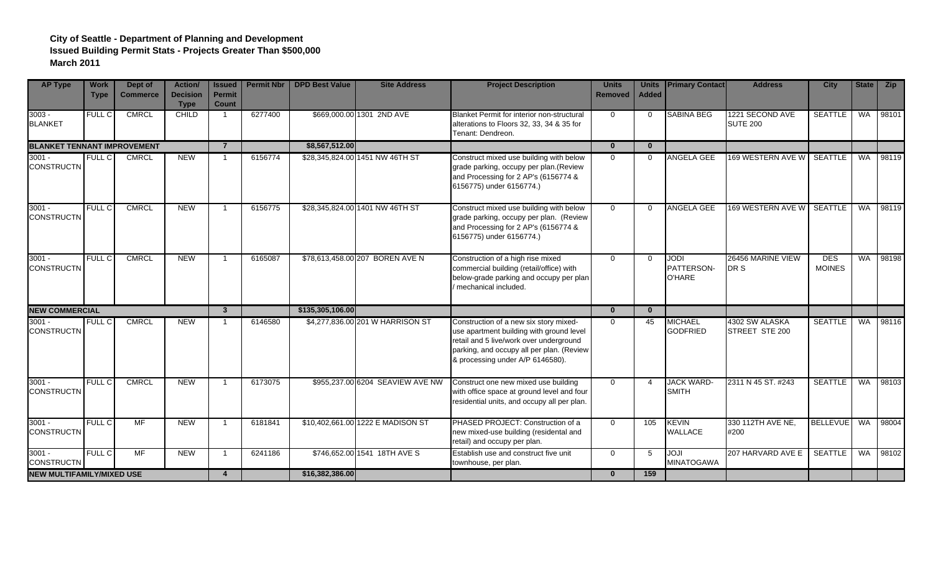| <b>AP Type</b>                     | <b>Work</b><br><b>Type</b> | Dept of<br><b>Commerce</b> | <b>Action/</b><br><b>Decision</b><br><b>Type</b> | <b>Issued</b><br><b>Permit</b><br><b>Count</b> | <b>Permit Nbr</b> | <b>DPD Best Value</b> | <b>Site Address</b>               | <b>Project Description</b>                                                                                                                                                                                     | <b>Units</b><br>Removed | <b>Units</b><br><b>Added</b> | <b>Primary Contact</b>              | <b>Address</b>                     | <b>City</b>                 | State     | <b>Zip</b> |
|------------------------------------|----------------------------|----------------------------|--------------------------------------------------|------------------------------------------------|-------------------|-----------------------|-----------------------------------|----------------------------------------------------------------------------------------------------------------------------------------------------------------------------------------------------------------|-------------------------|------------------------------|-------------------------------------|------------------------------------|-----------------------------|-----------|------------|
| $3003 -$<br><b>BLANKET</b>         | FULL C                     | <b>CMRCL</b>               | CHILD                                            |                                                | 6277400           |                       | \$669,000.00 1301 2ND AVE         | Blanket Permit for interior non-structural<br>alterations to Floors 32, 33, 34 & 35 for<br>Tenant: Dendreon.                                                                                                   | $\Omega$                | $\overline{0}$               | <b>SABINA BEG</b>                   | 1221 SECOND AVE<br><b>SUTE 200</b> | <b>SEATTLE</b>              | <b>WA</b> | 98101      |
| <b>BLANKET TENNANT IMPROVEMENT</b> |                            |                            |                                                  | $\overline{7}$                                 |                   | \$8,567,512.00        |                                   |                                                                                                                                                                                                                | $\bf{0}$                | $\mathbf{0}$                 |                                     |                                    |                             |           |            |
| $3001 -$<br><b>CONSTRUCTN</b>      | <b>FULL C</b>              | <b>CMRCL</b>               | <b>NEW</b>                                       |                                                | 6156774           |                       | \$28,345,824.00 1451 NW 46TH ST   | Construct mixed use building with below<br>grade parking, occupy per plan.(Review<br>and Processing for 2 AP's (6156774 &<br>6156775) under 6156774.)                                                          | $\Omega$                | $\Omega$                     | <b>ANGELA GEE</b>                   | <b>169 WESTERN AVE WI</b>          | <b>SEATTLE</b>              | <b>WA</b> | 98119      |
| $3001 -$<br><b>CONSTRUCTN</b>      | FULL C                     | <b>CMRCL</b>               | <b>NEW</b>                                       |                                                | 6156775           |                       | \$28,345,824.00 1401 NW 46TH ST   | Construct mixed use building with below<br>grade parking, occupy per plan. (Review<br>and Processing for 2 AP's (6156774 &<br>6156775) under 6156774.)                                                         | $\Omega$                | $\Omega$                     | ANGELA GEE                          | 169 WESTERN AVE W SEATTLE          |                             | <b>WA</b> | 98119      |
| $3001 -$<br><b>CONSTRUCTN</b>      | <b>FULL C</b>              | <b>CMRCL</b>               | <b>NEW</b>                                       |                                                | 6165087           |                       | \$78,613,458.00 207 BOREN AVE N   | Construction of a high rise mixed<br>commercial building (retail/office) with<br>below-grade parking and occupy per plan<br>mechanical included.                                                               | $\Omega$                | $\Omega$                     | <b>JODI</b><br>PATTERSON-<br>O'HARE | 26456 MARINE VIEW<br>DR S          | <b>DES</b><br><b>MOINES</b> | <b>WA</b> | 98198      |
| <b>NEW COMMERCIAL</b>              |                            |                            |                                                  | $\mathbf{3}$                                   |                   | \$135,305,106.00      |                                   |                                                                                                                                                                                                                | $\mathbf{0}$            | $\bf{0}$                     |                                     |                                    |                             |           |            |
| $3001 -$<br><b>CONSTRUCTN</b>      | <b>FULL C</b>              | <b>CMRCL</b>               | <b>NEW</b>                                       |                                                | 6146580           |                       | \$4,277,836,00 201 W HARRISON ST  | Construction of a new six story mixed-<br>use apartment building with ground level<br>retail and 5 live/work over underground<br>parking, and occupy all per plan. (Review<br>& processing under A/P 6146580). | $\Omega$                | 45                           | <b>MICHAEL</b><br><b>GODFRIED</b>   | 4302 SW ALASKA<br>STREET STE 200   | <b>SEATTLE</b>              |           | WA 98116   |
| $3001 -$<br><b>CONSTRUCTN</b>      | <b>FULL C</b>              | <b>CMRCL</b>               | <b>NEW</b>                                       |                                                | 6173075           |                       | \$955,237.00 6204 SEAVIEW AVE NW  | Construct one new mixed use building<br>with office space at ground level and four<br>residential units, and occupy all per plan.                                                                              | $\Omega$                | $\overline{4}$               | <b>JACK WARD-</b><br><b>SMITH</b>   | 2311 N 45 ST. #243                 | <b>SEATTLE</b>              | WA        | 98103      |
| $3001 -$<br><b>CONSTRUCTN</b>      | <b>FULL C</b>              | MF                         | <b>NEW</b>                                       |                                                | 6181841           |                       | \$10,402,661.00 1222 E MADISON ST | PHASED PROJECT: Construction of a<br>new mixed-use building (residental and<br>retail) and occupy per plan.                                                                                                    | $\Omega$                | 105                          | <b>KEVIN</b><br><b>WALLACE</b>      | 330 112TH AVE NE,<br>#200          | <b>BELLEVUE</b>             | WA        | 98004      |
| $3001 -$<br><b>CONSTRUCTN</b>      | FULL C                     | MF                         | <b>NEW</b>                                       |                                                | 6241186           |                       | \$746,652.00 1541 18TH AVE S      | Establish use and construct five unit<br>townhouse, per plan.                                                                                                                                                  | $\Omega$                | 5                            | <b>JOJI</b><br><b>MINATOGAWA</b>    | 207 HARVARD AVE E                  | <b>SEATTLE</b>              | <b>WA</b> | 98102      |
| <b>NEW MULTIFAMILY/MIXED USE</b>   |                            |                            | $\overline{4}$                                   |                                                | \$16,382,386.00   |                       |                                   | $\mathbf{0}$                                                                                                                                                                                                   | 159                     |                              |                                     |                                    |                             |           |            |